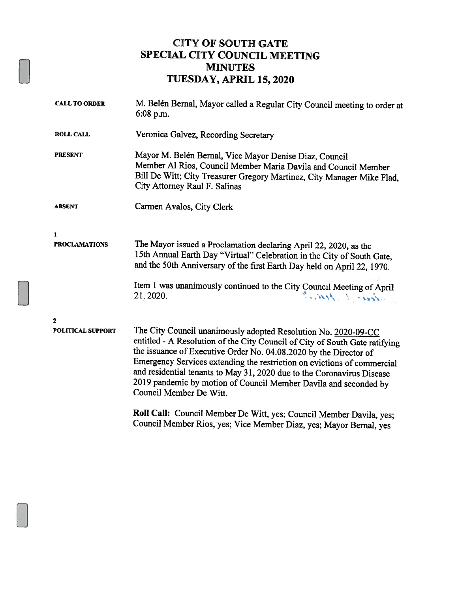## CITY OF SOUTH GATE SPECIAL CITY COUNCIL MEETING MINUTES TUESDAY, APRIL 15, 2020

| <b>CALL TO ORDER</b>     | M. Belén Bernal, Mayor called a Regular City Council meeting to order at<br>6:08 p.m.                                                                                                                                                                                                                                                                                                                                                                                  |
|--------------------------|------------------------------------------------------------------------------------------------------------------------------------------------------------------------------------------------------------------------------------------------------------------------------------------------------------------------------------------------------------------------------------------------------------------------------------------------------------------------|
| <b>ROLL CALL</b>         | Veronica Galvez, Recording Secretary                                                                                                                                                                                                                                                                                                                                                                                                                                   |
| <b>PRESENT</b>           | Mayor M. Belén Bernal, Vice Mayor Denise Diaz, Council<br>Member Al Rios, Council Member Maria Davila and Council Member<br>Bill De Witt; City Treasurer Gregory Martinez, City Manager Mike Flad,<br>City Attorney Raul F. Salinas                                                                                                                                                                                                                                    |
| <b>ABSENT</b>            | Carmen Avalos, City Clerk                                                                                                                                                                                                                                                                                                                                                                                                                                              |
| $\mathbf{1}$             |                                                                                                                                                                                                                                                                                                                                                                                                                                                                        |
| <b>PROCLAMATIONS</b>     | The Mayor issued a Proclamation declaring April 22, 2020, as the<br>15th Annual Earth Day "Virtual" Celebration in the City of South Gate,<br>and the 50th Anniversary of the first Earth Day held on April 22, 1970.                                                                                                                                                                                                                                                  |
|                          | Item 1 was unanimously continued to the City Council Meeting of April<br>Same Caption<br>21, 2020.                                                                                                                                                                                                                                                                                                                                                                     |
| $\mathbf{2}$             |                                                                                                                                                                                                                                                                                                                                                                                                                                                                        |
| <b>POLITICAL SUPPORT</b> | The City Council unanimously adopted Resolution No. 2020-09-CC<br>entitled - A Resolution of the City Council of City of South Gate ratifying<br>the issuance of Executive Order No. 04.08.2020 by the Director of<br>Emergency Services extending the restriction on evictions of commercial<br>and residential tenants to May 31, 2020 due to the Coronavirus Disease<br>2019 pandemic by motion of Council Member Davila and seconded by<br>Council Member De Witt. |
|                          | Roll Call: Council Member De Witt, yes; Council Member Davila, yes;<br>Council Member Rios, yes; Vice Member Diaz, yes; Mayor Bernal, yes                                                                                                                                                                                                                                                                                                                              |